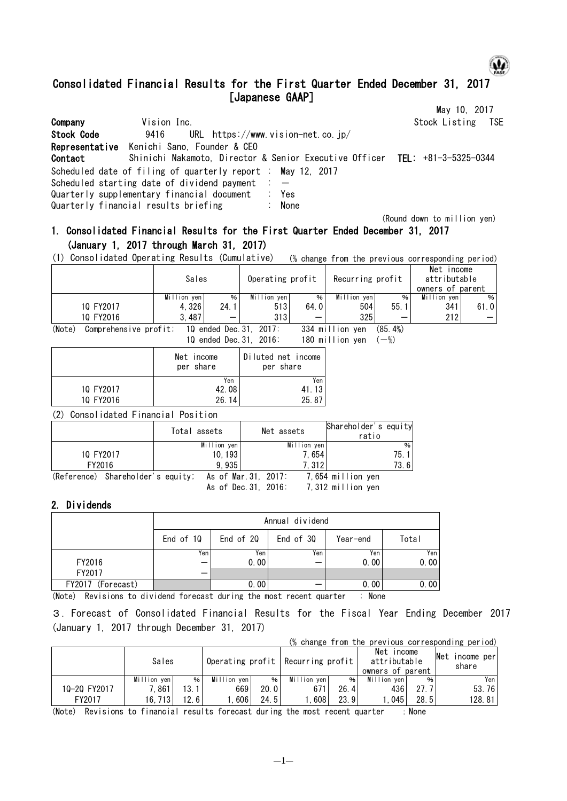# ω.

(Round down to million yen)

# Consolidated Financial Results for the First Quarter Ended December 31, 2017 [Japanese GAAP]

|            |                                                                                                                                                                                                                                 | May 10, 2017         |
|------------|---------------------------------------------------------------------------------------------------------------------------------------------------------------------------------------------------------------------------------|----------------------|
| Company    | Vision Inc.                                                                                                                                                                                                                     | Stock Listing<br>TSE |
| Stock Code | URL https://www.vision-net.co.jp/<br>9416                                                                                                                                                                                       |                      |
| Contact    | Representative Kenichi Sano, Founder & CEO<br>Shinichi Nakamoto, Director & Senior Executive Officer TEL: +81-3-5325-0344                                                                                                       |                      |
|            | Scheduled date of filing of quarterly report : May 12, 2017<br>Scheduled starting date of dividend payment $\therefore$ -<br>Quarterly supplementary financial document : Yes<br>Quarterly financial results briefing<br>: None |                      |

## 1. Consolidated Financial Results for the First Quarter Ended December 31, 2017 (January 1, 2017 through March 31, 2017)

(1) Consolidated Operating Results (Cumulative) (% change from the previous corresponding period)

|           | Sales       |      | Operating profit |      | Recurring profit |      | Net<br><b>Income</b><br>attributable<br>owners of parent |      |
|-----------|-------------|------|------------------|------|------------------|------|----------------------------------------------------------|------|
|           | Million yen | %۱   | Million yen      | %    | Million yen      | %    | Million ven                                              | %    |
| 10 FY2017 | 4.326       | 24.1 | 513              | 64.0 | 504              | 55.1 | 341                                                      | 61.0 |
| 10 FY2016 | 3,487       | –    | 313              |      | 325              |      | 212                                                      |      |

(Note) Comprehensive profit; 1Q ended Dec.31, 2017: 334 million yen (85.4%) 1Q ended Dec.31, 2016: 180 million yen  $(-\%)$ 

|           | Net income<br>per share | Diluted net income<br>per share |
|-----------|-------------------------|---------------------------------|
|           | Yen                     | Yen I                           |
| 10 FY2017 | 42.08                   | 41.13                           |
| 10 FY2016 | 26.14                   | 25.87                           |
|           |                         |                                 |

(2) Consolidated Financial Position

|           | Total assets                                           | Net assets  | Shareholder's equity<br>ratio |               |
|-----------|--------------------------------------------------------|-------------|-------------------------------|---------------|
|           | Million yen                                            | Million yen |                               | $\frac{0}{0}$ |
| 10 FY2017 | 10.1931                                                | 7.654       |                               | 75.           |
| FY2016    | 9.935                                                  | 7.312       |                               | 73.61         |
|           | $(Pafaranca)$ Sharaholder's equity: As of Mar 31 2017. |             | 7.654 million von             |               |

(Reference) Shareholder's equity; As of Mar.31, 2017: 7,654 million yen As of Dec.31, 2016: 7,312 million yen

### 2. Dividends

|                   | Annual dividend                                          |      |     |      |      |  |  |  |
|-------------------|----------------------------------------------------------|------|-----|------|------|--|--|--|
|                   | End of 30<br>Total<br>End of 10<br>End of 20<br>Year-end |      |     |      |      |  |  |  |
|                   | Yen                                                      | Yen  | Yen | Yen  | Yen  |  |  |  |
| FY2016            |                                                          | 0.00 |     | 0.00 | 0.00 |  |  |  |
| FY2017            |                                                          |      |     |      |      |  |  |  |
| FY2017 (Forecast) |                                                          | 0.00 |     | 0.00 | 0.00 |  |  |  |

(Note) Revisions to dividend forecast during the most recent quarter : None

3.Forecast of Consolidated Financial Results for the Fiscal Year Ending December 2017 (January 1, 2017 through December 31, 2017)

|              |             |      |             |       | (% change from the previous corresponding period) |      |                                                |      |                             |
|--------------|-------------|------|-------------|-------|---------------------------------------------------|------|------------------------------------------------|------|-----------------------------|
|              | Sales       |      |             |       | Operating profit   Recurring profit               |      | Net income<br>attributable<br>owners of parent |      | Net<br>income perl<br>share |
|              | Million yen | %    | Million yen | $%$ 1 | Million yen                                       | %    | Million yen                                    | %    | Yen                         |
| 10-20 FY2017 | 1.861       | 13.1 | 669         | 20.0  | 671                                               | 26.4 | 4361                                           | 27.7 | 53.76                       |
| FY2017       | 16.713      | 12.6 | 606         | 24.5  | 608                                               | 23.9 | 045                                            | 28.5 | 128.81                      |

(Note) Revisions to financial results forecast during the most recent quarter : None